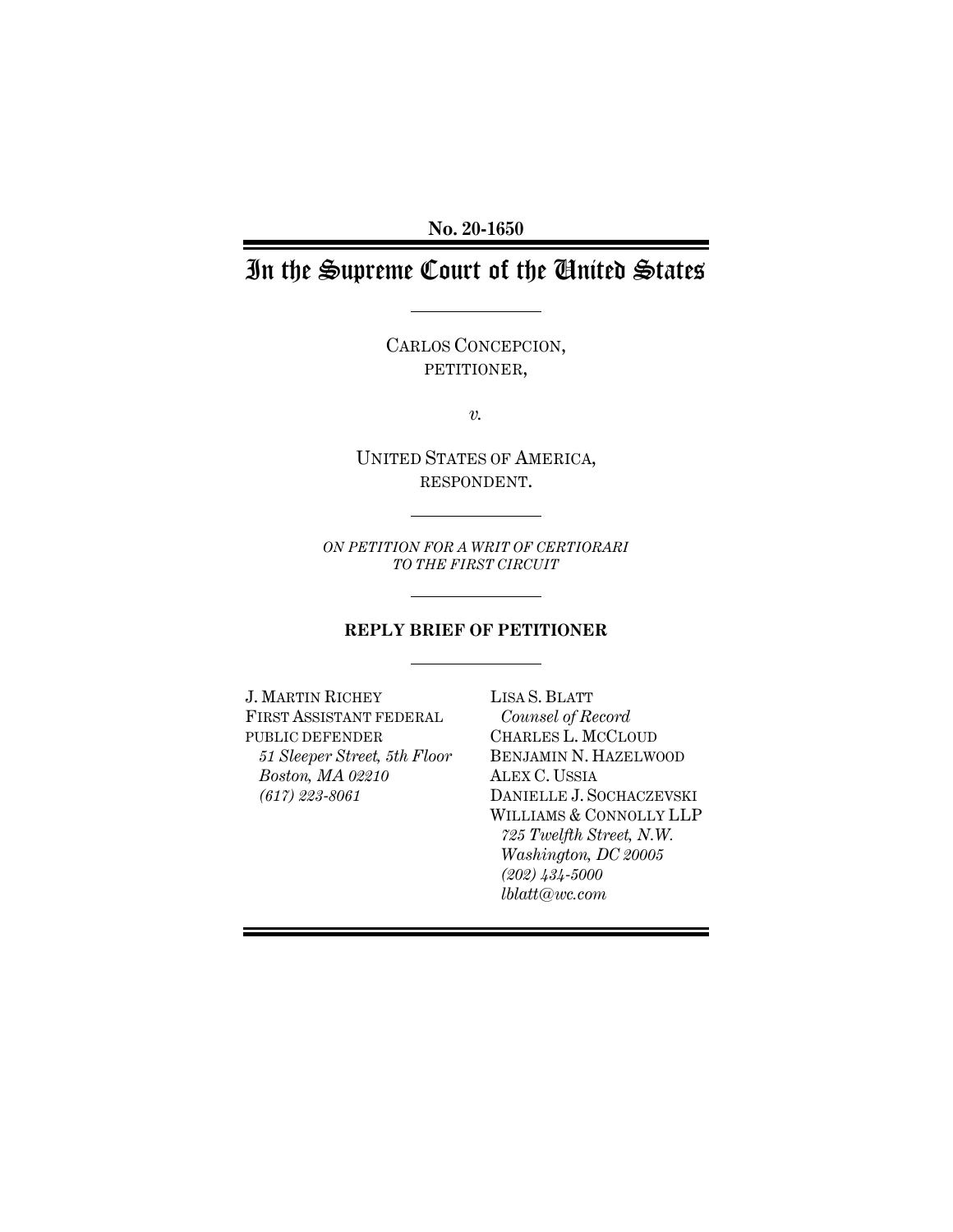**No. 20-1650**

# In the Supreme Court of the United States

CARLOS CONCEPCION, PETITIONER,

*v.*

UNITED STATES OF AMERICA, RESPONDENT.

*ON PETITION FOR A WRIT OF CERTIORARI TO THE FIRST CIRCUIT* 

#### **REPLY BRIEF OF PETITIONER**

J. MARTIN RICHEY FIRST ASSISTANT FEDERAL PUBLIC DEFENDER *51 Sleeper Street, 5th Floor Boston, MA 02210 (617) 223-8061*

LISA S. BLATT *Counsel of Record* CHARLES L. MCCLOUD BENJAMIN N. HAZELWOOD ALEX C. USSIA DANIELLE J. SOCHACZEVSKI WILLIAMS & CONNOLLY LLP *725 Twelfth Street, N.W. Washington, DC 20005 (202) 434-5000 lblatt@wc.com*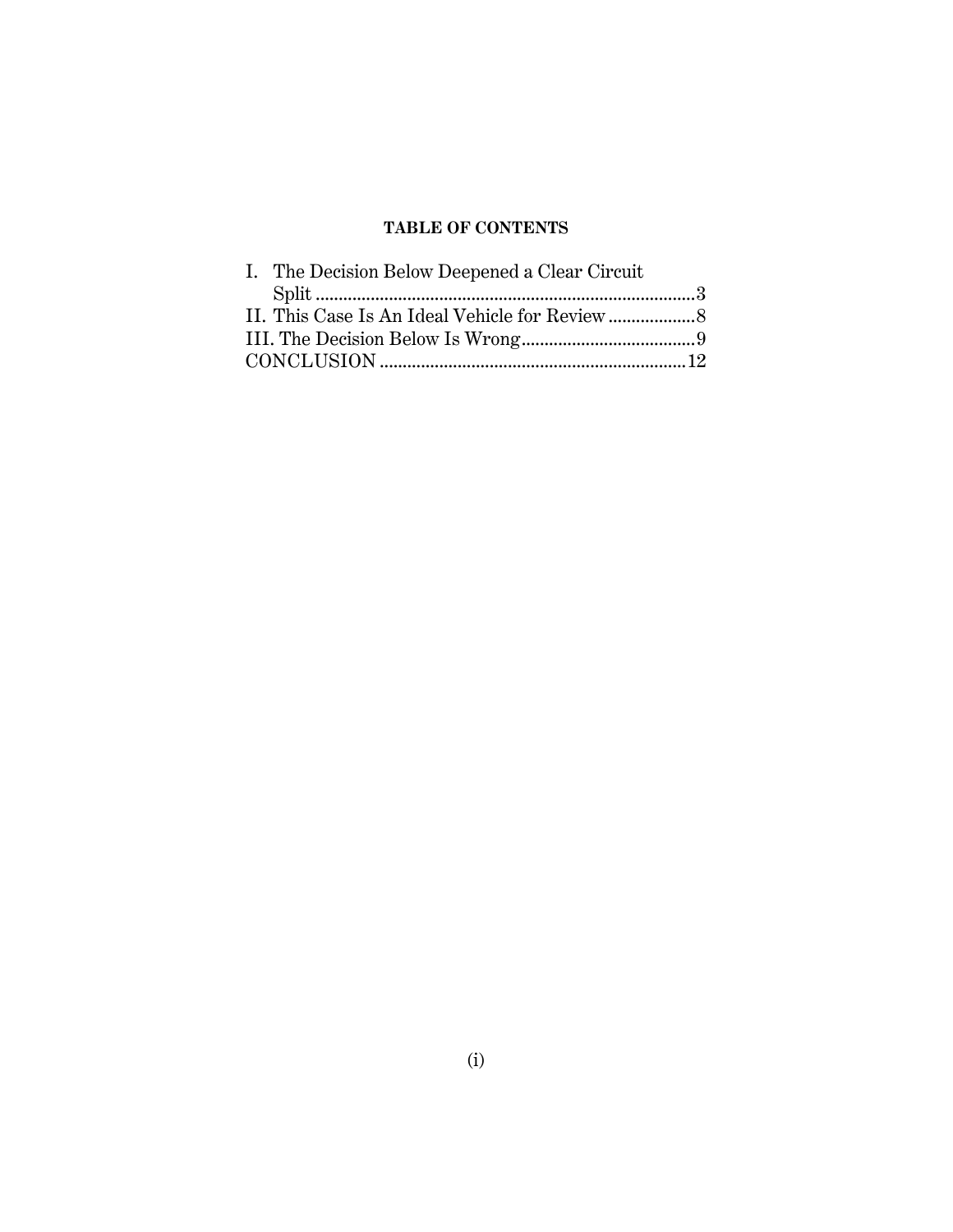# **TABLE OF CONTENTS**

| I. The Decision Below Deepened a Clear Circuit |  |
|------------------------------------------------|--|
|                                                |  |
|                                                |  |
|                                                |  |
|                                                |  |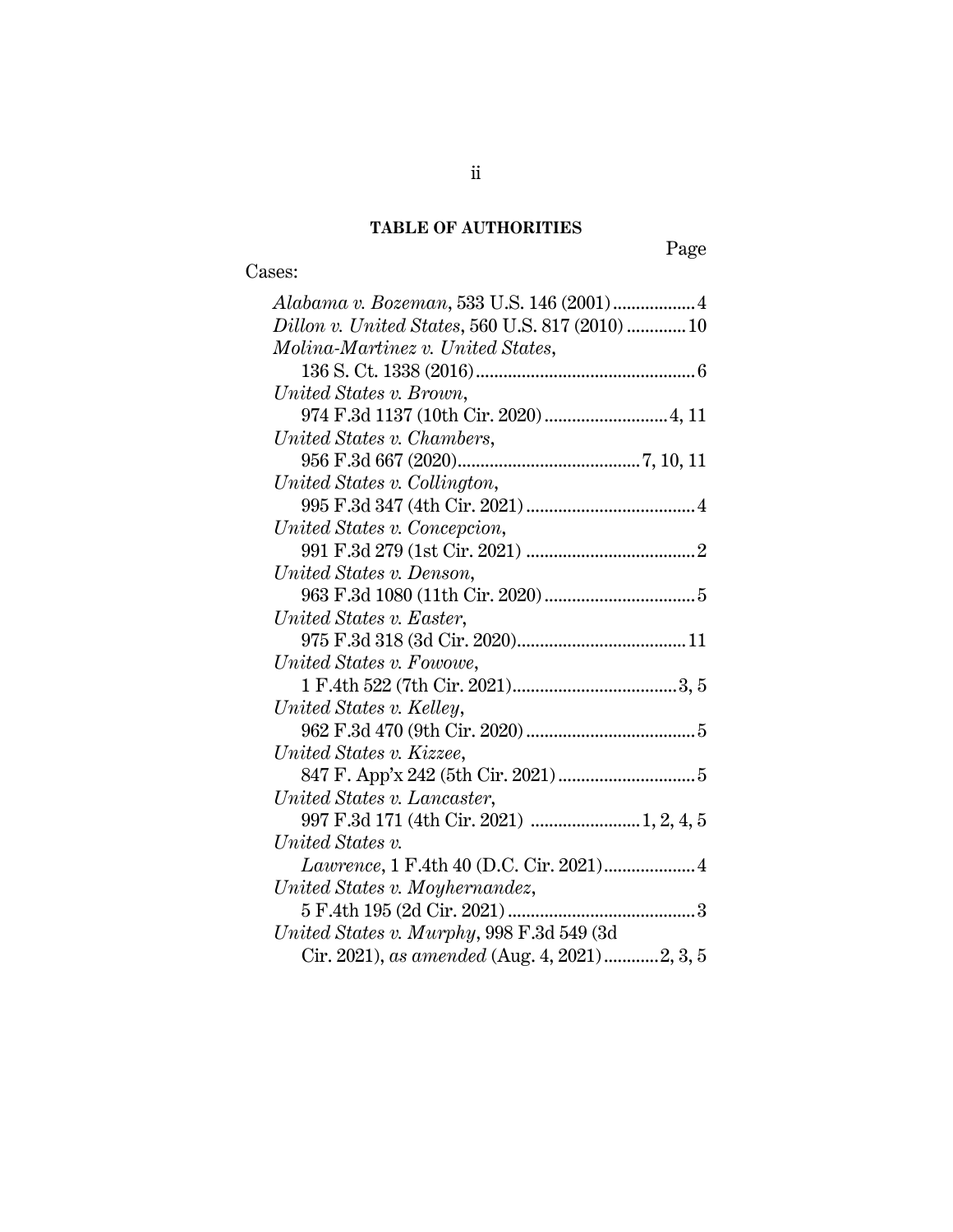# **TABLE OF AUTHORITIES**

# Cases:

| Dillon v. United States, 560 U.S. 817 (2010)  10 |
|--------------------------------------------------|
| Molina-Martinez v. United States,                |
|                                                  |
| United States v. Brown,                          |
| 974 F.3d 1137 (10th Cir. 2020)  4, 11            |
| United States v. Chambers,                       |
|                                                  |
| United States v. Collington,                     |
|                                                  |
| United States v. Concepcion,                     |
|                                                  |
| United States v. Denson,                         |
|                                                  |
| United States v. Easter,                         |
|                                                  |
| United States v. Fowowe,                         |
|                                                  |
| United States v. Kelley,                         |
|                                                  |
| United States v. Kizzee,                         |
|                                                  |
| United States v. Lancaster,                      |
|                                                  |
| United States v.                                 |
| Lawrence, 1 F.4th 40 (D.C. Cir. 2021) 4          |
| United States v. Moyhernandez,                   |
| 5 F.4th 195 (2d Cir. 2021)                       |
| United States v. Murphy, 998 F.3d 549 (3d)       |
| Cir. 2021), as amended (Aug. 4, 2021)2, 3, 5     |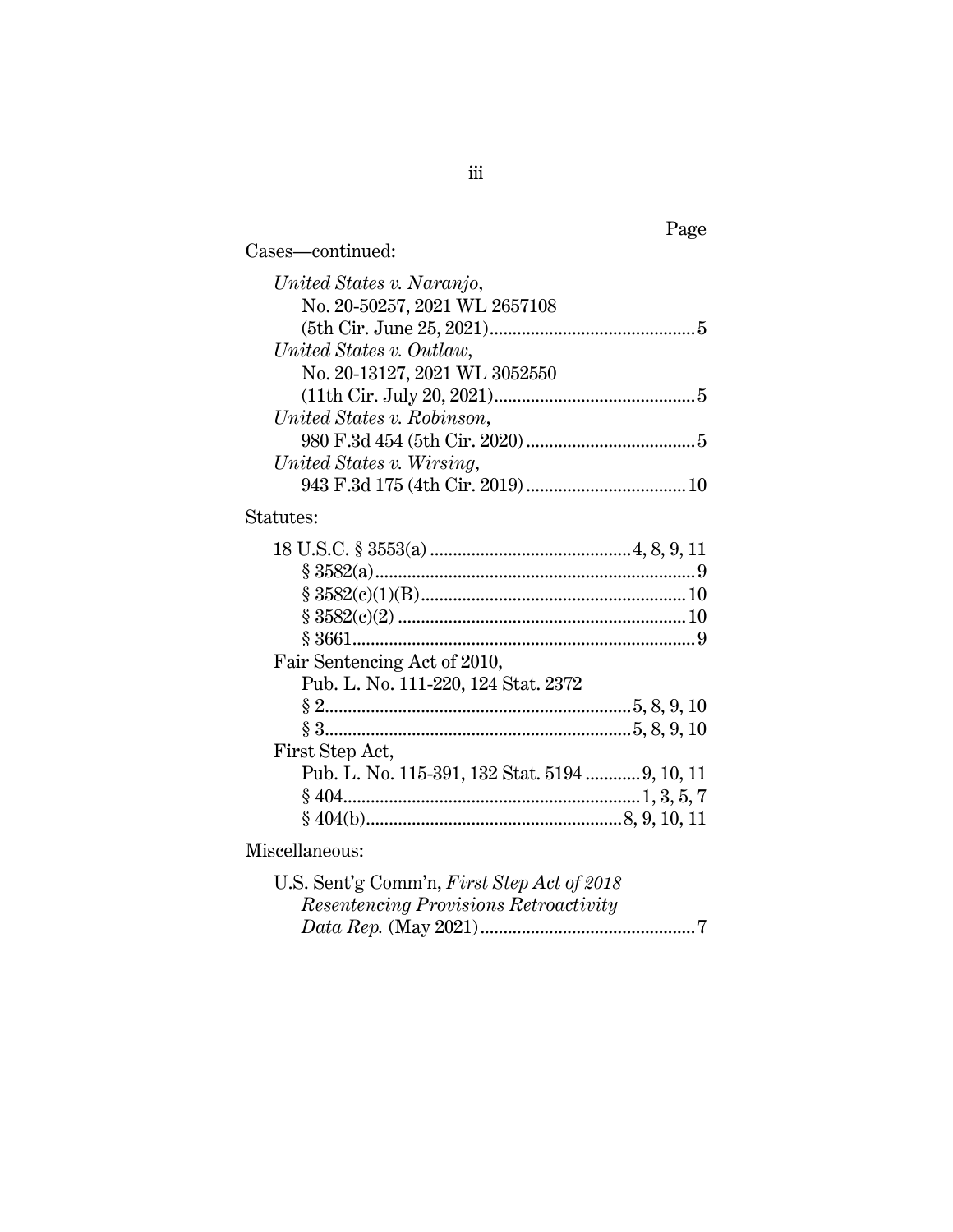| Cases-continued:                               |
|------------------------------------------------|
| United States v. Naranjo,                      |
| No. 20-50257, 2021 WL 2657108                  |
|                                                |
| United States v. Outlaw,                       |
| No. 20-13127, 2021 WL 3052550                  |
|                                                |
| United States v. Robinson,                     |
|                                                |
| United States v. Wirsing,                      |
|                                                |
| Statutes:                                      |
|                                                |
|                                                |
|                                                |
|                                                |
|                                                |
| Fair Sentencing Act of 2010,                   |
| Pub. L. No. 111-220, 124 Stat. 2372            |
|                                                |
|                                                |
| First Step Act,                                |
| Pub. L. No. 115-391, 132 Stat. 5194  9, 10, 11 |
|                                                |
|                                                |
| Miscellaneous:                                 |
| U.S. Sent'g Comm'n, First Step Act of 2018     |

| $\omega$ . Sent g Comming $r$ and Supplet of 2018 |  |
|---------------------------------------------------|--|
| Resentencing Provisions Retroactivity             |  |
|                                                   |  |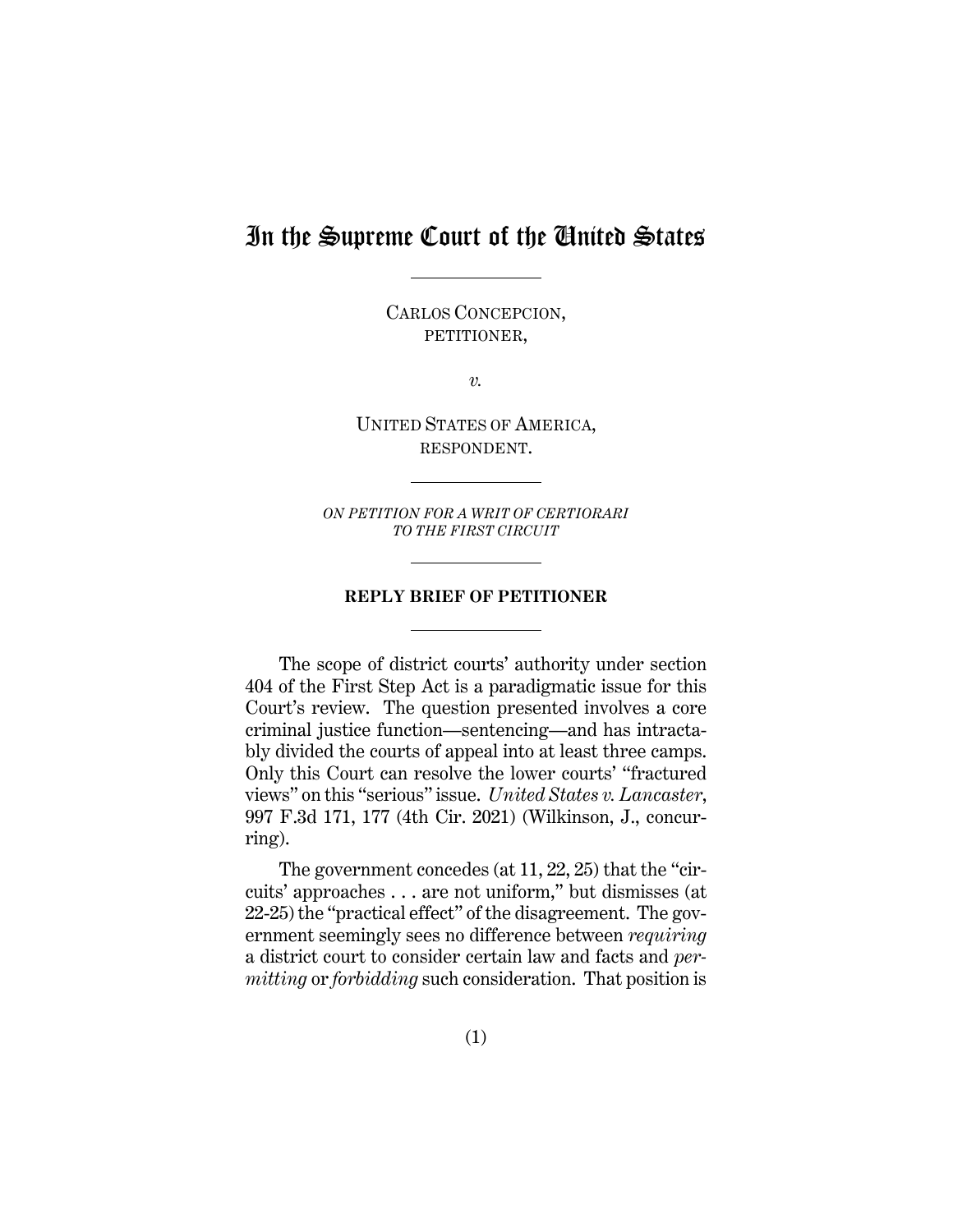# In the Supreme Court of the United States

CARLOS CONCEPCION, PETITIONER,

*v.*

UNITED STATES OF AMERICA, RESPONDENT.

*ON PETITION FOR A WRIT OF CERTIORARI TO THE FIRST CIRCUIT* 

#### <span id="page-4-0"></span>**REPLY BRIEF OF PETITIONER**

The scope of district courts' authority under section 404 of the First Step Act is a paradigmatic issue for this Court's review. The question presented involves a core criminal justice function—sentencing—and has intractably divided the courts of appeal into at least three camps. Only this Court can resolve the lower courts' "fractured views" on this "serious" issue. *United States v. Lancaster*, 997 F.3d 171, 177 (4th Cir. 2021) (Wilkinson, J., concurring).

The government concedes (at 11, 22, 25) that the "circuits' approaches . . . are not uniform," but dismisses (at 22-25) the "practical effect" of the disagreement. The government seemingly sees no difference between *requiring* a district court to consider certain law and facts and *permitting* or *forbidding* such consideration. That position is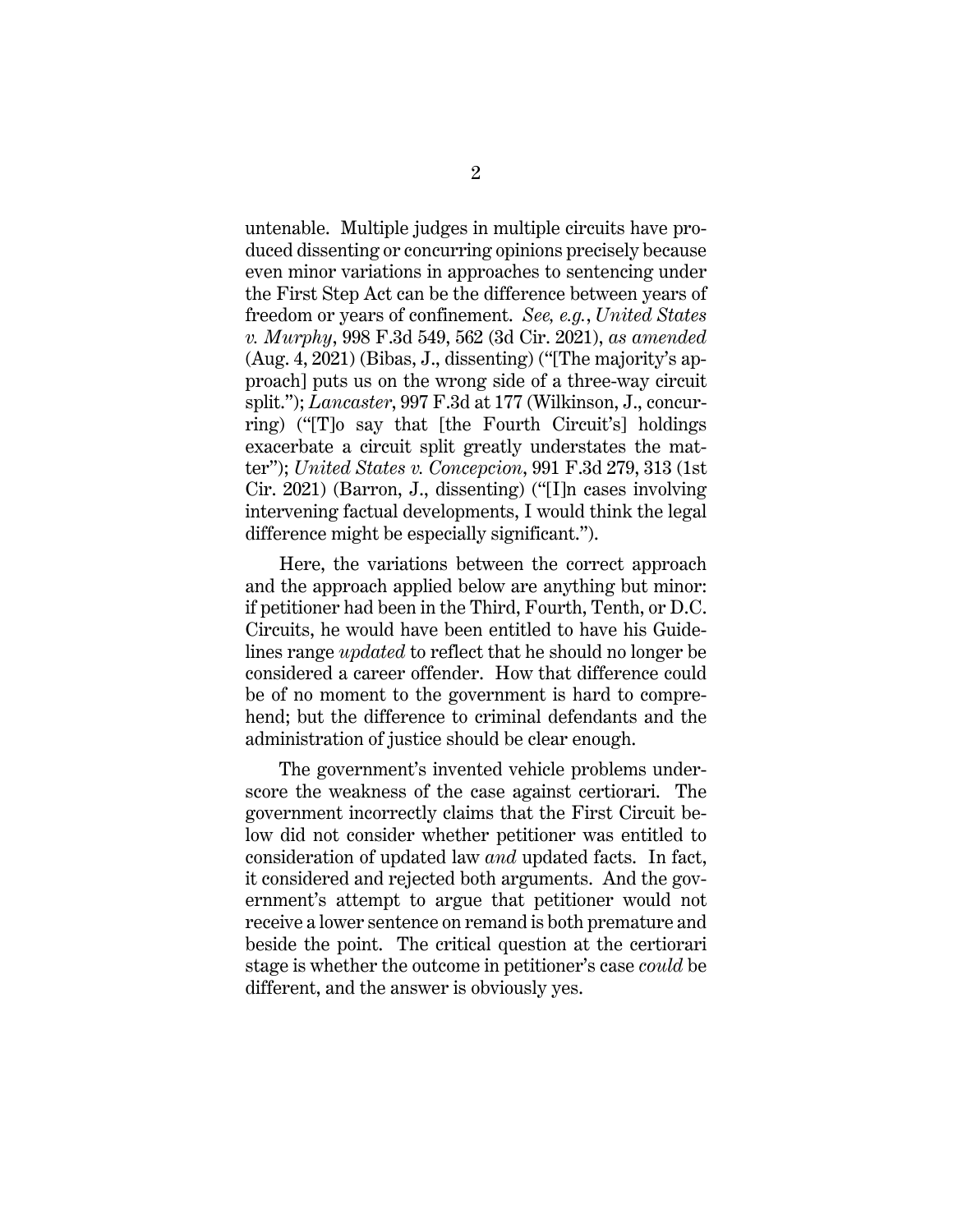<span id="page-5-2"></span>untenable. Multiple judges in multiple circuits have produced dissenting or concurring opinions precisely because even minor variations in approaches to sentencing under the First Step Act can be the difference between years of freedom or years of confinement. *See, e.g.*, *United States v. Murphy*, 998 F.3d 549, 562 (3d Cir. 2021), *as amended* (Aug. 4, 2021) (Bibas, J., dissenting) ("[The majority's approach] puts us on the wrong side of a three-way circuit split."); *Lancaster*, 997 F.3d at 177 (Wilkinson, J., concurring) ("[T]o say that [the Fourth Circuit's] holdings exacerbate a circuit split greatly understates the matter"); *United States v. Concepcion*, 991 F.3d 279, 313 (1st Cir. 2021) (Barron, J., dissenting) ("[I]n cases involving intervening factual developments, I would think the legal difference might be especially significant.").

<span id="page-5-1"></span><span id="page-5-0"></span>Here, the variations between the correct approach and the approach applied below are anything but minor: if petitioner had been in the Third, Fourth, Tenth, or D.C. Circuits, he would have been entitled to have his Guidelines range *updated* to reflect that he should no longer be considered a career offender. How that difference could be of no moment to the government is hard to comprehend; but the difference to criminal defendants and the administration of justice should be clear enough.

The government's invented vehicle problems underscore the weakness of the case against certiorari. The government incorrectly claims that the First Circuit below did not consider whether petitioner was entitled to consideration of updated law *and* updated facts. In fact, it considered and rejected both arguments. And the government's attempt to argue that petitioner would not receive a lower sentence on remand is both premature and beside the point. The critical question at the certiorari stage is whether the outcome in petitioner's case *could* be different, and the answer is obviously yes.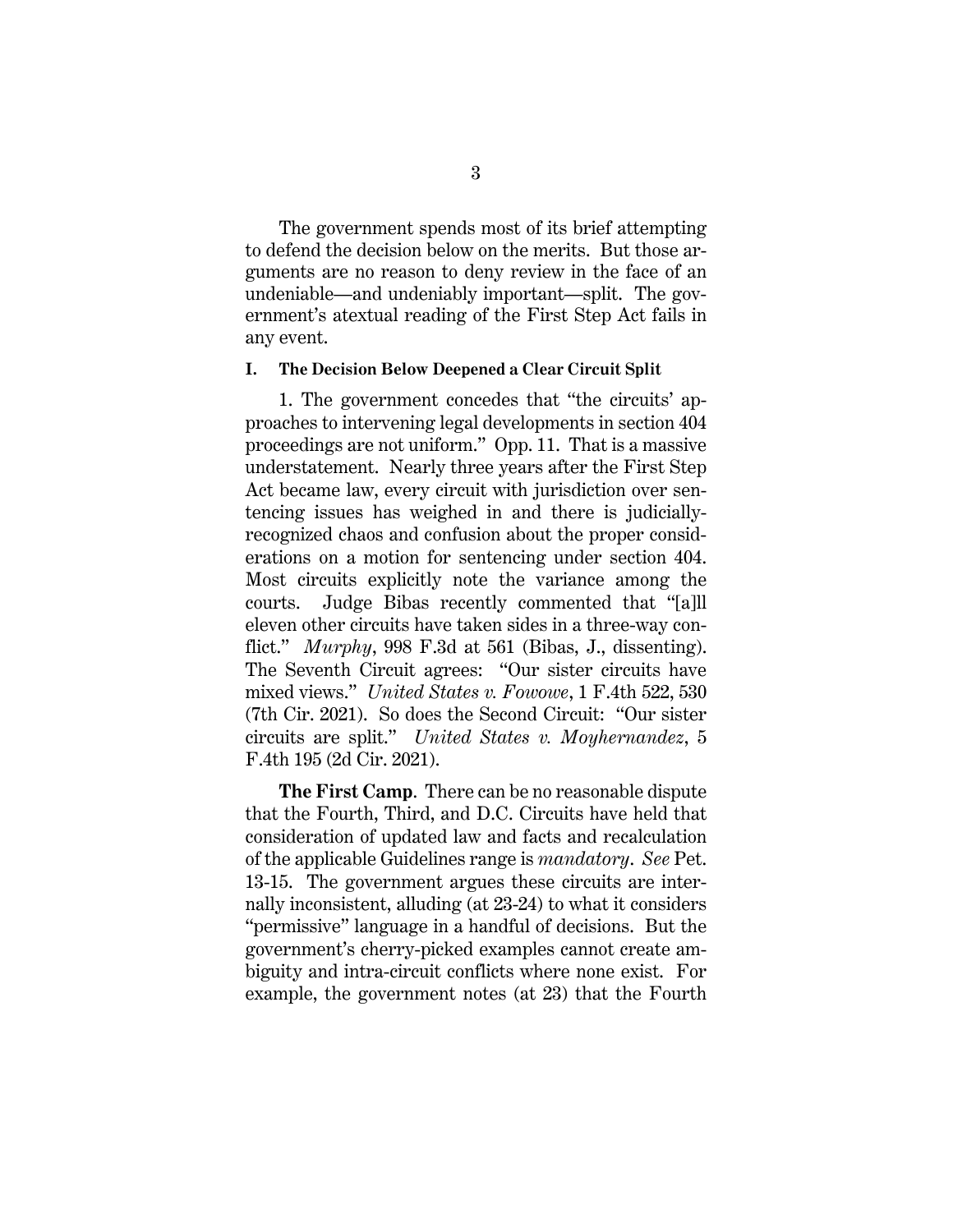The government spends most of its brief attempting to defend the decision below on the merits. But those arguments are no reason to deny review in the face of an undeniable—and undeniably important—split. The government's atextual reading of the First Step Act fails in any event.

#### <span id="page-6-0"></span>**I. The Decision Below Deepened a Clear Circuit Split**

1. The government concedes that "the circuits' approaches to intervening legal developments in section 404 proceedings are not uniform." Opp. 11. That is a massive understatement. Nearly three years after the First Step Act became law, every circuit with jurisdiction over sentencing issues has weighed in and there is judiciallyrecognized chaos and confusion about the proper considerations on a motion for sentencing under section 404. Most circuits explicitly note the variance among the courts. Judge Bibas recently commented that "[a]ll eleven other circuits have taken sides in a three-way conflict." *Murphy*, 998 F.3d at 561 (Bibas, J., dissenting). The Seventh Circuit agrees: "Our sister circuits have mixed views." *United States v. Fowowe*, 1 F.4th 522, 530 (7th Cir. 2021). So does the Second Circuit: "Our sister circuits are split." *United States v. Moyhernandez*, 5 F.4th 195 (2d Cir. 2021).

<span id="page-6-3"></span><span id="page-6-2"></span><span id="page-6-1"></span>**The First Camp**. There can be no reasonable dispute that the Fourth, Third, and D.C. Circuits have held that consideration of updated law and facts and recalculation of the applicable Guidelines range is *mandatory*. *See* Pet. 13-15. The government argues these circuits are internally inconsistent, alluding (at 23-24) to what it considers "permissive" language in a handful of decisions. But the government's cherry-picked examples cannot create ambiguity and intra-circuit conflicts where none exist. For example, the government notes (at 23) that the Fourth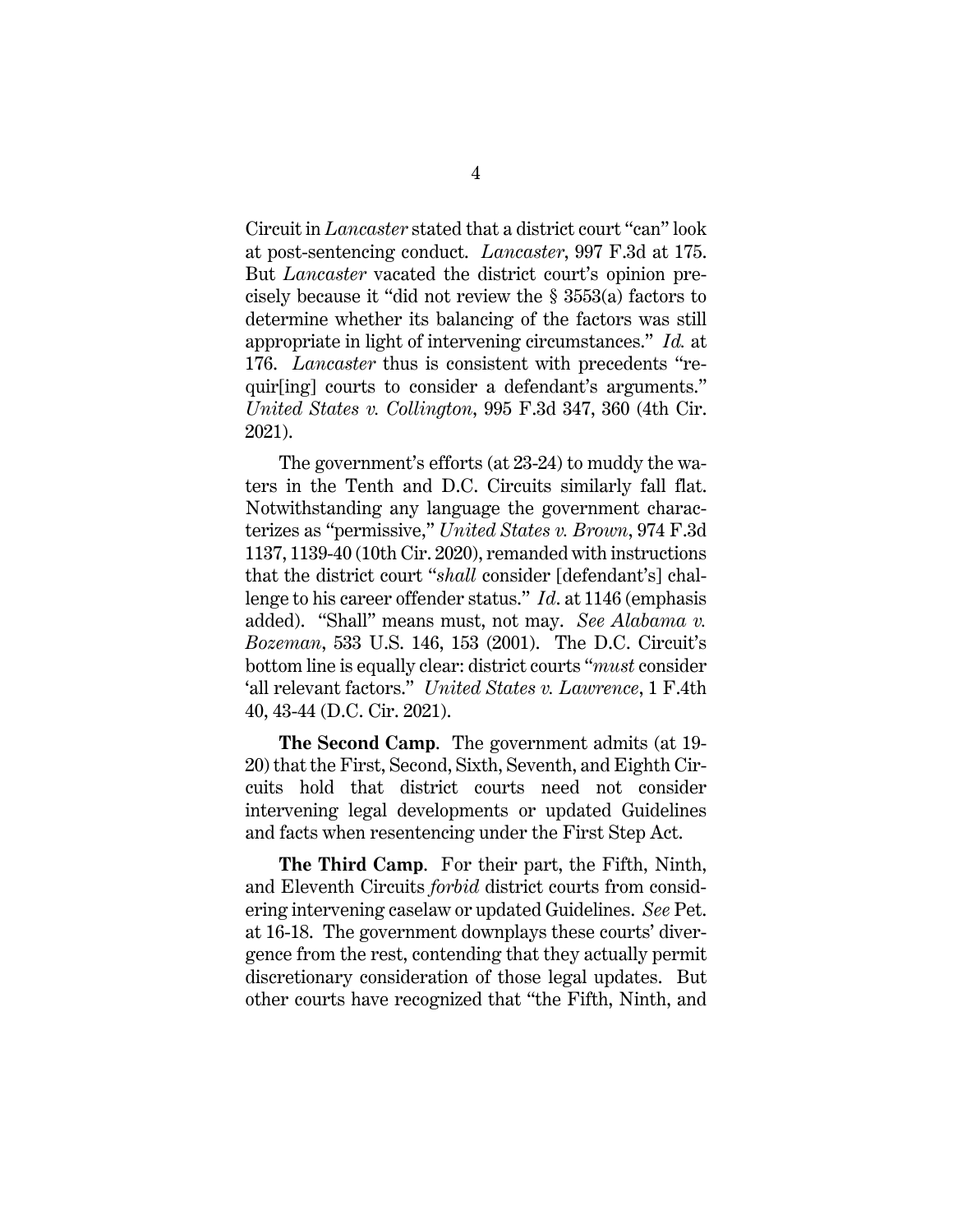<span id="page-7-5"></span><span id="page-7-3"></span>Circuit in *Lancaster* stated that a district court "can" look at post-sentencing conduct. *Lancaster*, 997 F.3d at 175. But *Lancaster* vacated the district court's opinion precisely because it "did not review the § 3553(a) factors to determine whether its balancing of the factors was still appropriate in light of intervening circumstances." *Id.* at 176. *Lancaster* thus is consistent with precedents "requir[ing] courts to consider a defendant's arguments." *United States v. Collington*, 995 F.3d 347, 360 (4th Cir. 2021).

<span id="page-7-2"></span><span id="page-7-1"></span>The government's efforts (at 23-24) to muddy the waters in the Tenth and D.C. Circuits similarly fall flat. Notwithstanding any language the government characterizes as "permissive," *United States v. Brown*, 974 F.3d 1137, 1139-40 (10th Cir. 2020), remanded with instructions that the district court "*shall* consider [defendant's] challenge to his career offender status." *Id*. at 1146 (emphasis added). "Shall" means must, not may. *See Alabama v. Bozeman*, 533 U.S. 146, 153 (2001). The D.C. Circuit's bottom line is equally clear: district courts "*must* consider 'all relevant factors." *United States v. Lawrence*, 1 F.4th 40, 43-44 (D.C. Cir. 2021).

<span id="page-7-4"></span><span id="page-7-0"></span>**The Second Camp**. The government admits (at 19- 20) that the First, Second, Sixth, Seventh, and Eighth Circuits hold that district courts need not consider intervening legal developments or updated Guidelines and facts when resentencing under the First Step Act.

**The Third Camp**. For their part, the Fifth, Ninth, and Eleventh Circuits *forbid* district courts from considering intervening caselaw or updated Guidelines. *See* Pet. at 16-18. The government downplays these courts' divergence from the rest, contending that they actually permit discretionary consideration of those legal updates. But other courts have recognized that "the Fifth, Ninth, and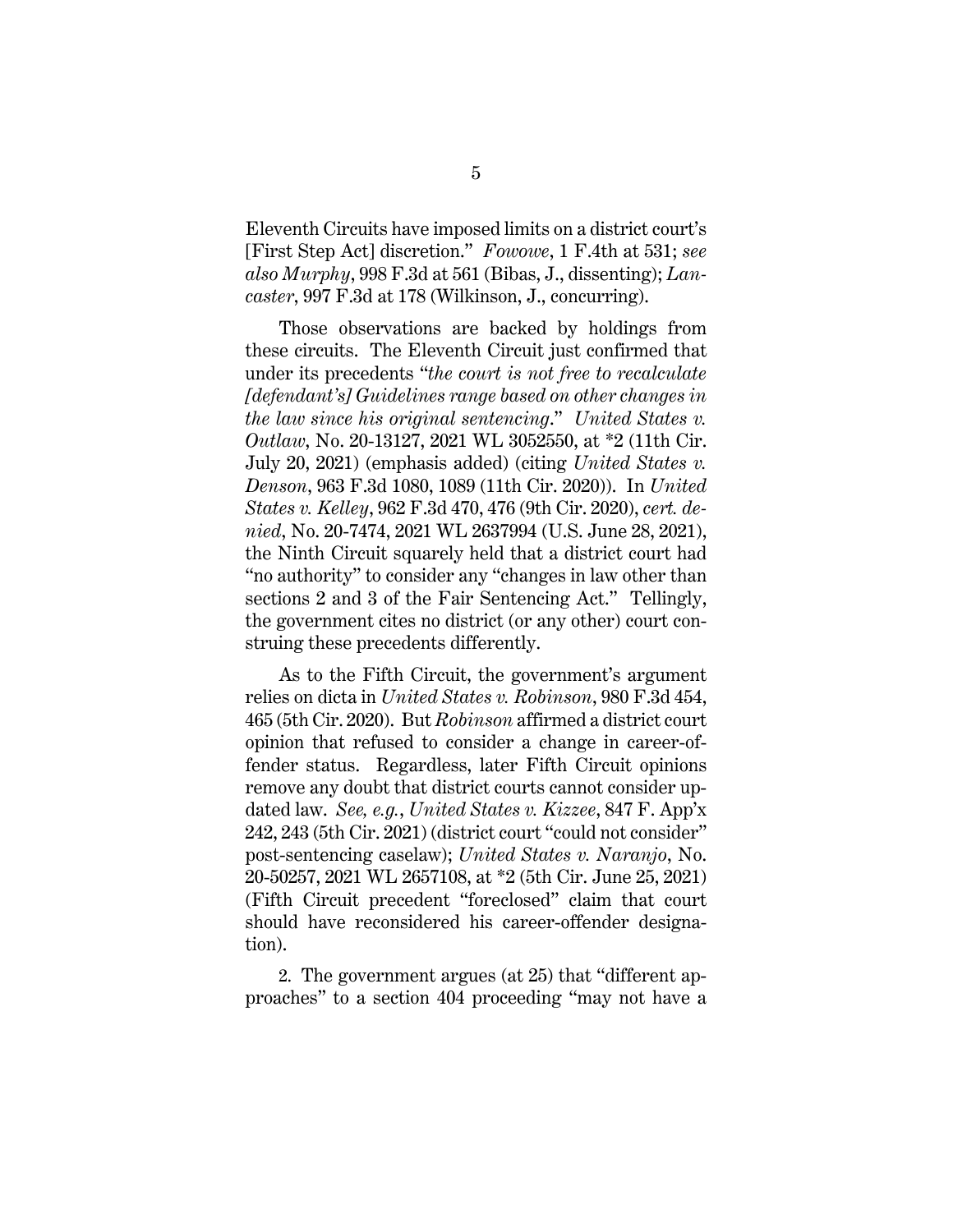<span id="page-8-5"></span><span id="page-8-4"></span><span id="page-8-1"></span>Eleventh Circuits have imposed limits on a district court's [First Step Act] discretion." *Fowowe*, 1 F.4th at 531; *see also Murphy*, 998 F.3d at 561 (Bibas, J., dissenting); *Lancaster*, 997 F.3d at 178 (Wilkinson, J., concurring).

<span id="page-8-7"></span><span id="page-8-2"></span><span id="page-8-0"></span>Those observations are backed by holdings from these circuits. The Eleventh Circuit just confirmed that under its precedents "*the court is not free to recalculate [defendant's] Guidelines range based on other changes in the law since his original sentencing*." *United States v. Outlaw*, No. 20-13127, 2021 WL 3052550, at \*2 (11th Cir. July 20, 2021) (emphasis added) (citing *United States v. Denson*, 963 F.3d 1080, 1089 (11th Cir. 2020)). In *United States v. Kelley*, 962 F.3d 470, 476 (9th Cir. 2020), *cert. denied*, No. 20-7474, 2021 WL 2637994 (U.S. June 28, 2021), the Ninth Circuit squarely held that a district court had "no authority" to consider any "changes in law other than sections 2 and 3 of the Fair Sentencing Act." Tellingly, the government cites no district (or any other) court construing these precedents differently.

<span id="page-8-9"></span><span id="page-8-8"></span><span id="page-8-3"></span>As to the Fifth Circuit, the government's argument relies on dicta in *United States v. Robinson*, 980 F.3d 454, 465 (5th Cir. 2020). But *Robinson* affirmed a district court opinion that refused to consider a change in career-offender status. Regardless, later Fifth Circuit opinions remove any doubt that district courts cannot consider updated law. *See, e.g.*, *United States v. Kizzee*, 847 F. App'x 242, 243 (5th Cir. 2021) (district court "could not consider" post-sentencing caselaw); *United States v. Naranjo*, No. 20-50257, 2021 WL 2657108, at \*2 (5th Cir. June 25, 2021) (Fifth Circuit precedent "foreclosed" claim that court should have reconsidered his career-offender designation).

<span id="page-8-6"></span>2. The government argues (at 25) that "different approaches" to a section 404 proceeding "may not have a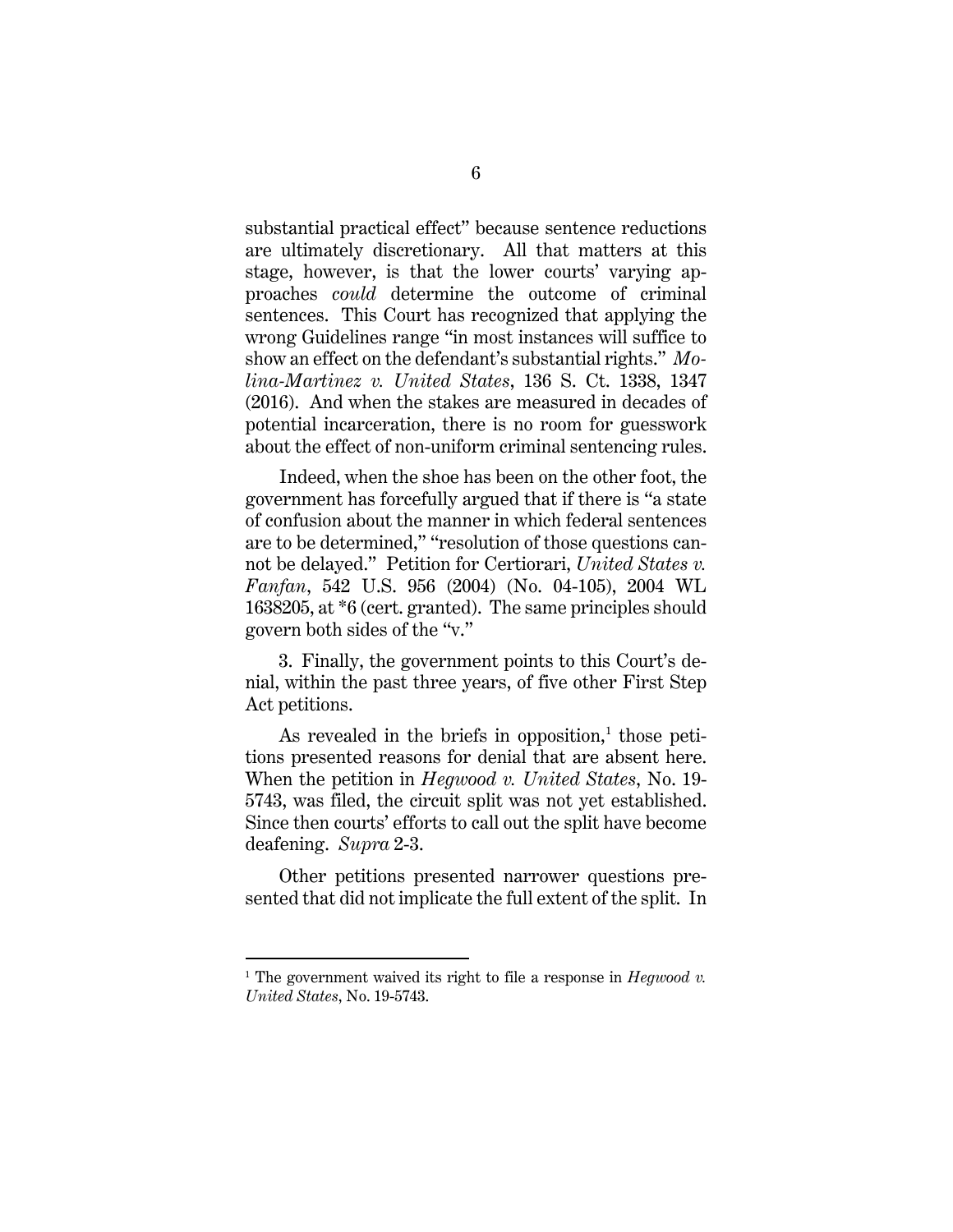substantial practical effect" because sentence reductions are ultimately discretionary. All that matters at this stage, however, is that the lower courts' varying approaches *could* determine the outcome of criminal sentences. This Court has recognized that applying the wrong Guidelines range "in most instances will suffice to show an effect on the defendant's substantial rights." *Molina-Martinez v. United States*, 136 S. Ct. 1338, 1347 (2016). And when the stakes are measured in decades of potential incarceration, there is no room for guesswork about the effect of non-uniform criminal sentencing rules.

<span id="page-9-0"></span>Indeed, when the shoe has been on the other foot, the government has forcefully argued that if there is "a state of confusion about the manner in which federal sentences are to be determined," "resolution of those questions cannot be delayed." Petition for Certiorari, *United States v. Fanfan*, 542 U.S. 956 (2004) (No. 04-105), 2004 WL 1638205, at \*6 (cert. granted). The same principles should govern both sides of the "v."

3. Finally, the government points to this Court's denial, within the past three years, of five other First Step Act petitions.

As revealed in the briefs in opposition, $<sup>1</sup>$  $<sup>1</sup>$  $<sup>1</sup>$  those peti-</sup> tions presented reasons for denial that are absent here. When the petition in *Hegwood v. United States*, No. 19- 5743, was filed, the circuit split was not yet established. Since then courts' efforts to call out the split have become deafening. *Supra* 2-3.

Other petitions presented narrower questions presented that did not implicate the full extent of the split. In

<span id="page-9-1"></span><sup>&</sup>lt;sup>1</sup> The government waived its right to file a response in  $Hegwood$   $v$ . *United States*, No. 19-5743.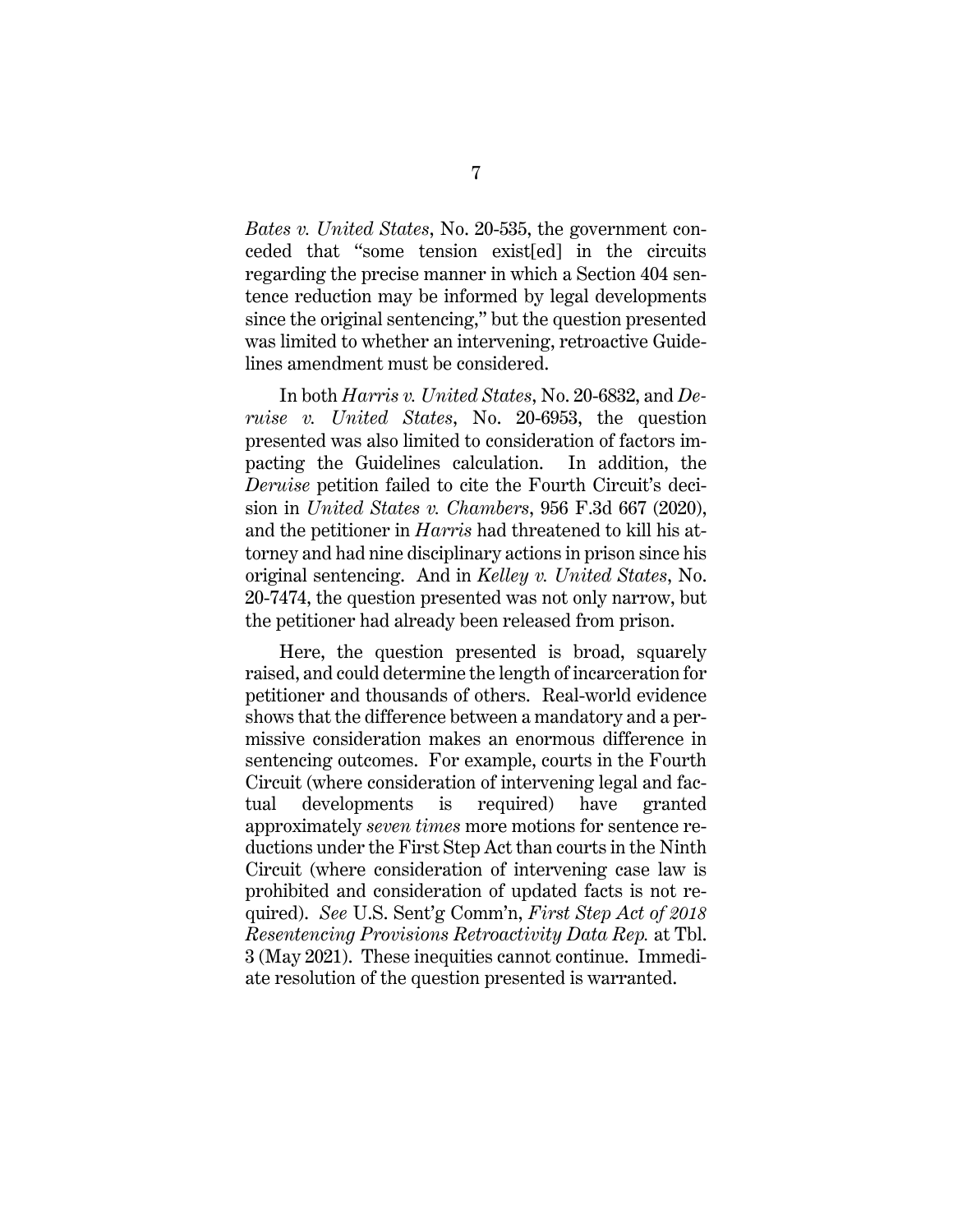*Bates v. United States*, No. 20-535, the government conceded that "some tension exist[ed] in the circuits regarding the precise manner in which a Section 404 sentence reduction may be informed by legal developments since the original sentencing," but the question presented was limited to whether an intervening, retroactive Guidelines amendment must be considered.

<span id="page-10-0"></span>In both *Harris v. United States*, No. 20-6832, and *Deruise v. United States*, No. 20-6953, the question presented was also limited to consideration of factors impacting the Guidelines calculation. In addition, the *Deruise* petition failed to cite the Fourth Circuit's decision in *United States v. Chambers*, 956 F.3d 667 (2020), and the petitioner in *Harris* had threatened to kill his attorney and had nine disciplinary actions in prison since his original sentencing. And in *Kelley v. United States*, No. 20-7474, the question presented was not only narrow, but the petitioner had already been released from prison.

<span id="page-10-1"></span>Here, the question presented is broad, squarely raised, and could determine the length of incarceration for petitioner and thousands of others. Real-world evidence shows that the difference between a mandatory and a permissive consideration makes an enormous difference in sentencing outcomes. For example, courts in the Fourth Circuit (where consideration of intervening legal and factual developments is required) have granted approximately *seven times* more motions for sentence reductions under the First Step Act than courts in the Ninth Circuit (where consideration of intervening case law is prohibited and consideration of updated facts is not required). *See* U.S. Sent'g Comm'n, *First Step Act of 2018 Resentencing Provisions Retroactivity Data Rep.* at Tbl. 3 (May 2021). These inequities cannot continue. Immediate resolution of the question presented is warranted.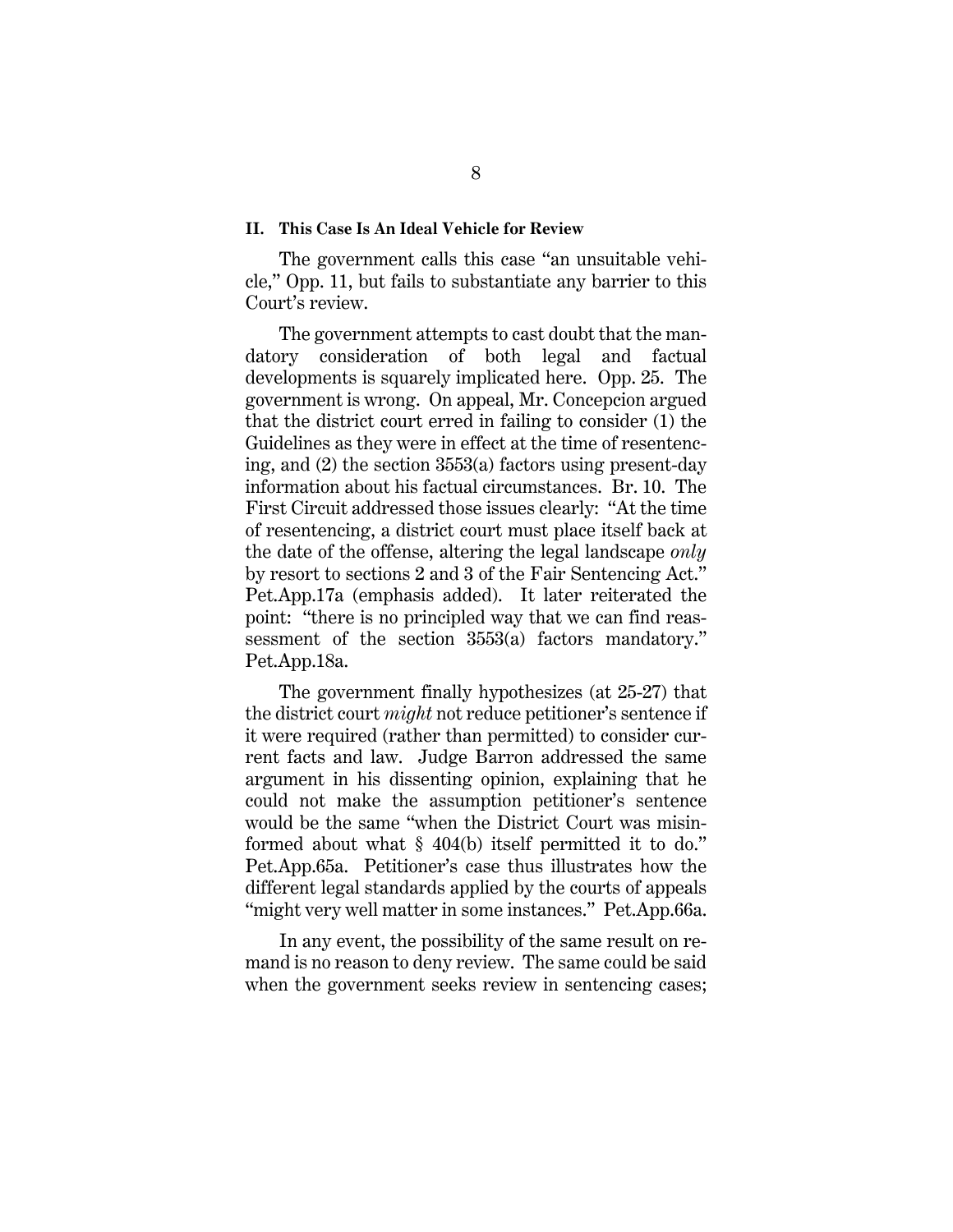#### <span id="page-11-0"></span>**II. This Case Is An Ideal Vehicle for Review**

The government calls this case "an unsuitable vehicle," Opp. 11, but fails to substantiate any barrier to this Court's review.

<span id="page-11-1"></span>The government attempts to cast doubt that the mandatory consideration of both legal and factual developments is squarely implicated here. Opp. 25. The government is wrong. On appeal, Mr. Concepcion argued that the district court erred in failing to consider (1) the Guidelines as they were in effect at the time of resentencing, and (2) the section 3553(a) factors using present-day information about his factual circumstances. Br. 10. The First Circuit addressed those issues clearly: "At the time of resentencing, a district court must place itself back at the date of the offense, altering the legal landscape *only*  by resort to sections 2 and 3 of the Fair Sentencing Act." Pet.App.17a (emphasis added). It later reiterated the point: "there is no principled way that we can find reassessment of the section 3553(a) factors mandatory." Pet.App.18a.

<span id="page-11-2"></span>The government finally hypothesizes (at 25-27) that the district court *might* not reduce petitioner's sentence if it were required (rather than permitted) to consider current facts and law. Judge Barron addressed the same argument in his dissenting opinion, explaining that he could not make the assumption petitioner's sentence would be the same "when the District Court was misinformed about what § 404(b) itself permitted it to do." Pet.App.65a. Petitioner's case thus illustrates how the different legal standards applied by the courts of appeals "might very well matter in some instances." Pet.App.66a.

In any event, the possibility of the same result on remand is no reason to deny review. The same could be said when the government seeks review in sentencing cases;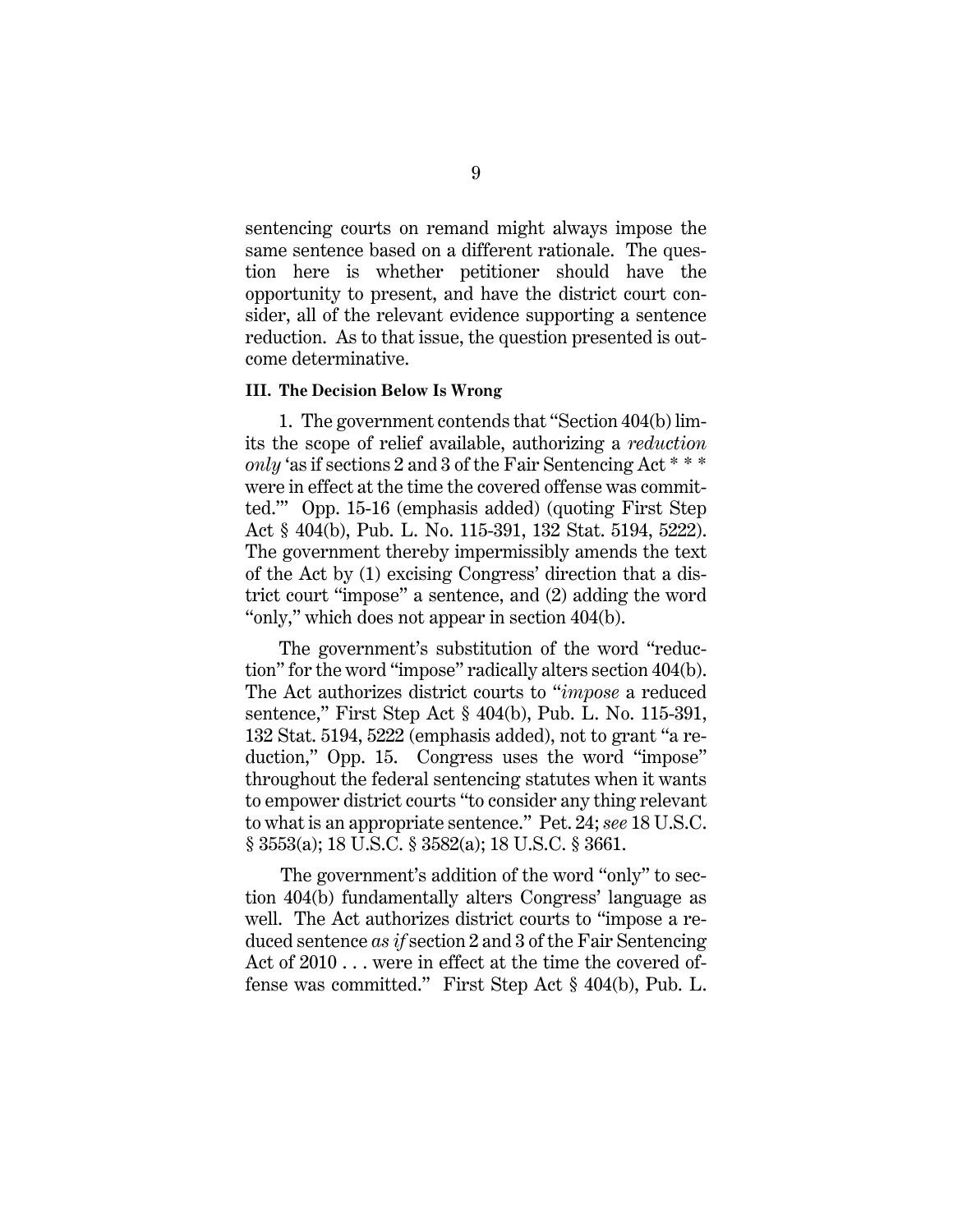sentencing courts on remand might always impose the same sentence based on a different rationale. The question here is whether petitioner should have the opportunity to present, and have the district court consider, all of the relevant evidence supporting a sentence reduction. As to that issue, the question presented is outcome determinative.

#### <span id="page-12-0"></span>**III. The Decision Below Is Wrong**

<span id="page-12-5"></span><span id="page-12-4"></span>1. The government contends that "Section 404(b) limits the scope of relief available, authorizing a *reduction only* 'as if sections 2 and 3 of the Fair Sentencing Act \* \* \* were in effect at the time the covered offense was committed.'" Opp. 15-16 (emphasis added) (quoting First Step Act § 404(b), Pub. L. No. 115-391, 132 Stat. 5194, 5222). The government thereby impermissibly amends the text of the Act by (1) excising Congress' direction that a district court "impose" a sentence, and (2) adding the word "only," which does not appear in section 404(b).

The government's substitution of the word "reduction" for the word "impose" radically alters section 404(b). The Act authorizes district courts to "*impose* a reduced sentence," First Step Act § 404(b), Pub. L. No. 115-391, 132 Stat. 5194, 5222 (emphasis added), not to grant "a reduction," Opp. 15. Congress uses the word "impose" throughout the federal sentencing statutes when it wants to empower district courts "to consider any thing relevant to what is an appropriate sentence." Pet. 24; *see* 18 U.S.C. § 3553(a); 18 U.S.C. § 3582(a); 18 U.S.C. § 3661.

<span id="page-12-3"></span><span id="page-12-2"></span><span id="page-12-1"></span>The government's addition of the word "only" to section 404(b) fundamentally alters Congress' language as well. The Act authorizes district courts to "impose a reduced sentence *as if* section 2 and 3 of the Fair Sentencing Act of 2010... were in effect at the time the covered offense was committed." First Step Act § 404(b), Pub. L.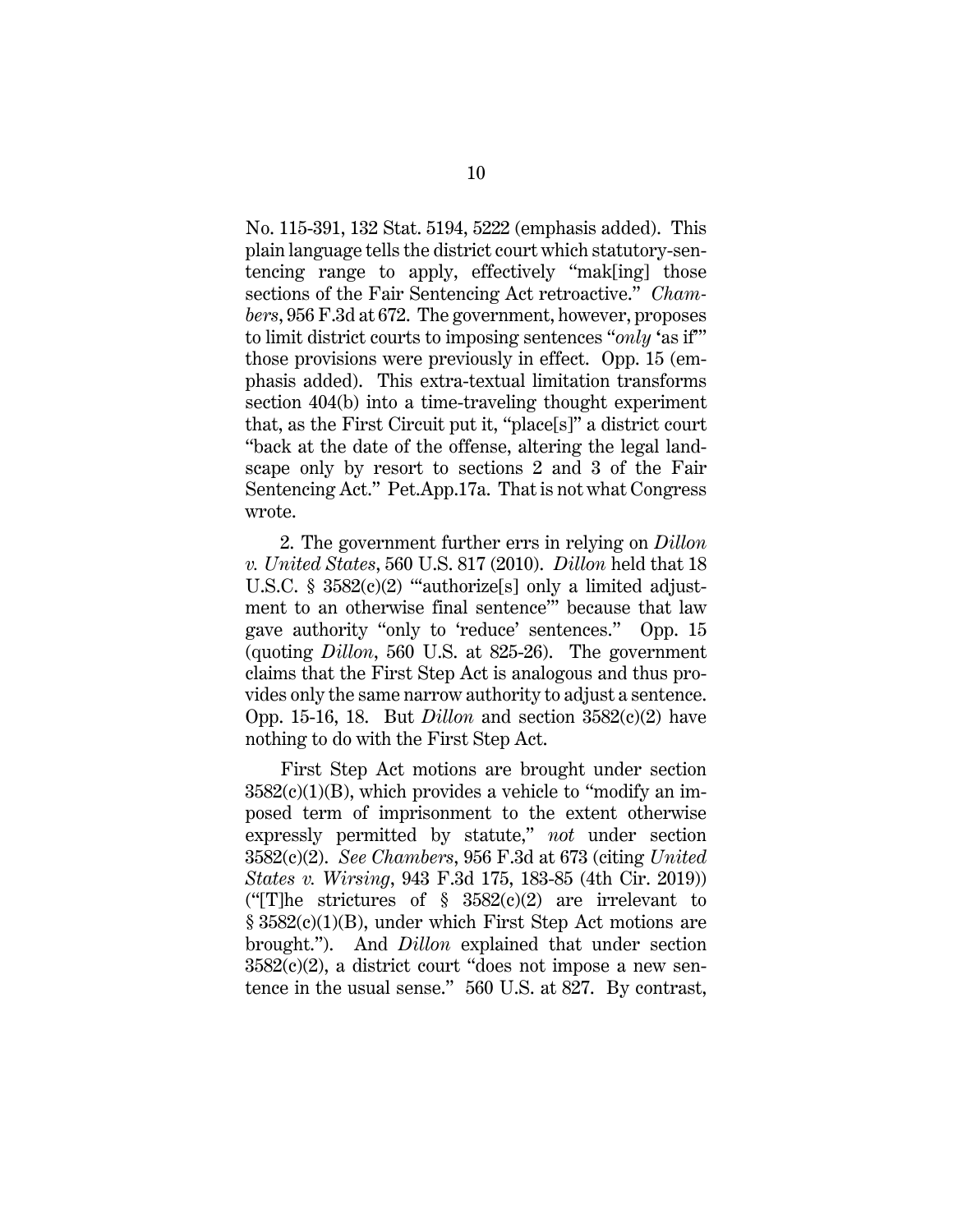<span id="page-13-1"></span>No. 115-391, 132 Stat. 5194, 5222 (emphasis added). This plain language tells the district court which statutory-sentencing range to apply, effectively "mak[ing] those sections of the Fair Sentencing Act retroactive." *Chambers*, 956 F.3d at 672. The government, however, proposes to limit district courts to imposing sentences "*only* **'**as if'" those provisions were previously in effect. Opp. 15 (emphasis added). This extra-textual limitation transforms section 404(b) into a time-traveling thought experiment that, as the First Circuit put it, "place[s]" a district court "back at the date of the offense, altering the legal landscape only by resort to sections 2 and 3 of the Fair Sentencing Act." Pet.App.17a. That is not what Congress wrote.

<span id="page-13-6"></span><span id="page-13-5"></span><span id="page-13-4"></span><span id="page-13-0"></span>2. The government further errs in relying on *Dillon v. United States*, 560 U.S. 817 (2010). *Dillon* held that 18 U.S.C. §  $3582(c)(2)$  "authorize<sup>[s]</sup> only a limited adjustment to an otherwise final sentence'" because that law gave authority "only to 'reduce' sentences." Opp. 15 (quoting *Dillon*, 560 U.S. at 825-26). The government claims that the First Step Act is analogous and thus provides only the same narrow authority to adjust a sentence. Opp. 15-16, 18. But *Dillon* and section 3582(c)(2) have nothing to do with the First Step Act.

<span id="page-13-3"></span><span id="page-13-2"></span>First Step Act motions are brought under section  $3582(c)(1)(B)$ , which provides a vehicle to "modify an imposed term of imprisonment to the extent otherwise expressly permitted by statute," *not* under section 3582(c)(2). *See Chambers*, 956 F.3d at 673 (citing *United States v. Wirsing*, 943 F.3d 175, 183-85 (4th Cir. 2019)) ("The strictures of  $\S$  3582(c)(2) are irrelevant to  $\S$  3582(c)(1)(B), under which First Step Act motions are brought."). And *Dillon* explained that under section  $3582(c)(2)$ , a district court "does not impose a new sentence in the usual sense." 560 U.S. at 827. By contrast,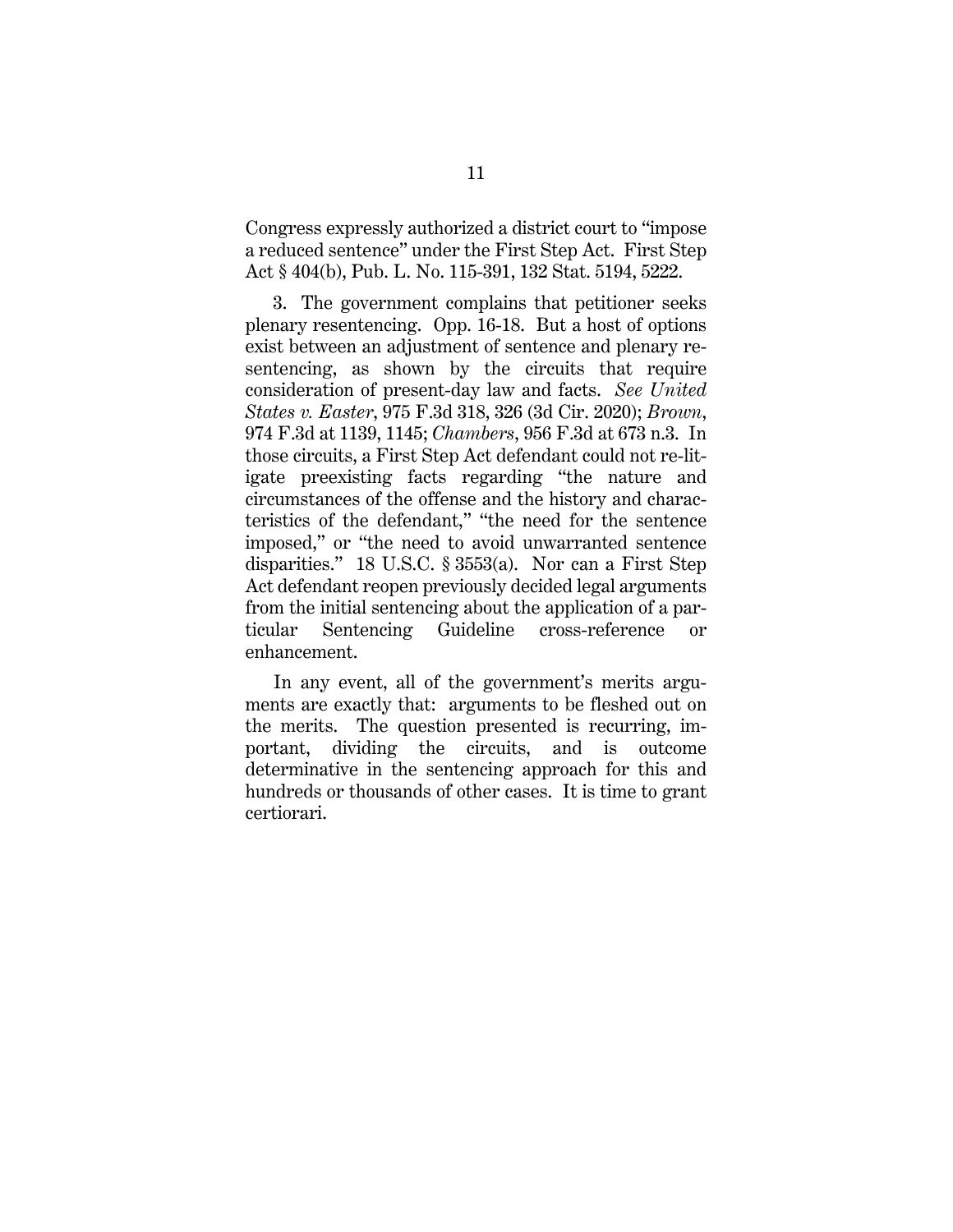<span id="page-14-4"></span>Congress expressly authorized a district court to "impose a reduced sentence" under the First Step Act. First Step Act § 404(b), Pub. L. No. 115-391, 132 Stat. 5194, 5222.

<span id="page-14-2"></span><span id="page-14-1"></span><span id="page-14-0"></span>3. The government complains that petitioner seeks plenary resentencing. Opp. 16-18. But a host of options exist between an adjustment of sentence and plenary resentencing, as shown by the circuits that require consideration of present-day law and facts. *See United States v. Easter*, 975 F.3d 318, 326 (3d Cir. 2020); *Brown*, 974 F.3d at 1139, 1145; *Chambers*, 956 F.3d at 673 n.3. In those circuits, a First Step Act defendant could not re-litigate preexisting facts regarding "the nature and circumstances of the offense and the history and characteristics of the defendant," "the need for the sentence imposed," or "the need to avoid unwarranted sentence disparities." 18 U.S.C. § 3553(a). Nor can a First Step Act defendant reopen previously decided legal arguments from the initial sentencing about the application of a particular Sentencing Guideline cross-reference or enhancement.

<span id="page-14-3"></span>In any event, all of the government's merits arguments are exactly that: arguments to be fleshed out on the merits. The question presented is recurring, important, dividing the circuits, and is outcome determinative in the sentencing approach for this and hundreds or thousands of other cases. It is time to grant certiorari.